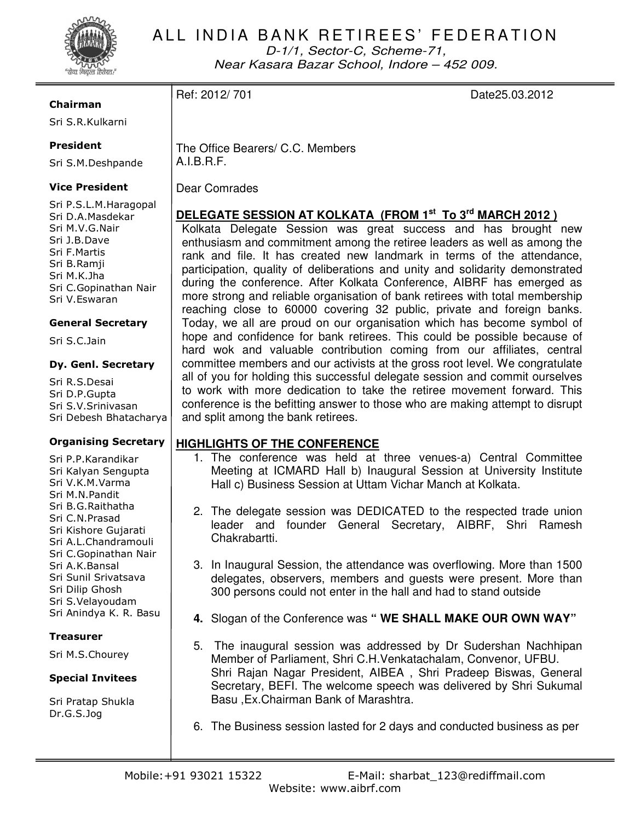

D-1/1, Sector-C, Scheme-71, Near Kasara Bazar School, Indore – 452 009.

#### Chairman

Sri S.R.Kulkarni

### President

Sri S.M.Deshpande

#### Vice President

Sri P.S.L.M.Haragopal Sri D.A.Masdekar Sri M.V.G.Nair Sri J.B.Dave Sri F.Martis Sri B.Ramji Sri M.K.Jha Sri C.Gopinathan Nair Sri V.Eswaran

#### General Secretary

Sri S.C.Jain

#### Dy. Genl. Secretary

Sri R.S.Desai Sri D.P.Gupta Sri S.V.Srinivasan Sri Debesh Bhatacharya

#### Organising Secretary

Sri P.P.Karandikar Sri Kalyan Sengupta Sri V.K.M.Varma Sri M.N.Pandit Sri B.G.Raithatha Sri C.N.Prasad Sri Kishore Gujarati Sri A.L.Chandramouli Sri C.Gopinathan Nair Sri A.K.Bansal Sri Sunil Srivatsava Sri Dilip Ghosh Sri S.Velayoudam Sri Anindya K. R. Basu

#### Treasurer

Sri M.S.Chourey

#### Special Invitees

Sri Pratap Shukla Dr.G.S.Jog

The Office Bearers/ C.C. Members A.I.B.R.F.

Dear Comrades

## **DELEGATE SESSION AT KOLKATA (FROM 1st To 3rd MARCH 2012 )**

Kolkata Delegate Session was great success and has brought new enthusiasm and commitment among the retiree leaders as well as among the rank and file. It has created new landmark in terms of the attendance, participation, quality of deliberations and unity and solidarity demonstrated during the conference. After Kolkata Conference, AIBRF has emerged as more strong and reliable organisation of bank retirees with total membership reaching close to 60000 covering 32 public, private and foreign banks. Today, we all are proud on our organisation which has become symbol of hope and confidence for bank retirees. This could be possible because of hard wok and valuable contribution coming from our affiliates, central committee members and our activists at the gross root level. We congratulate all of you for holding this successful delegate session and commit ourselves to work with more dedication to take the retiree movement forward. This conference is the befitting answer to those who are making attempt to disrupt and split among the bank retirees.

## **HIGHLIGHTS OF THE CONFERENCE**

- 1. The conference was held at three venues-a) Central Committee Meeting at ICMARD Hall b) Inaugural Session at University Institute Hall c) Business Session at Uttam Vichar Manch at Kolkata.
- 2. The delegate session was DEDICATED to the respected trade union leader and founder General Secretary, AIBRF, Shri Ramesh Chakrabartti.
- 3. In Inaugural Session, the attendance was overflowing. More than 1500 delegates, observers, members and guests were present. More than 300 persons could not enter in the hall and had to stand outside
- **4.** Slogan of the Conference was **" WE SHALL MAKE OUR OWN WAY"**
- 5. The inaugural session was addressed by Dr Sudershan Nachhipan Member of Parliament, Shri C.H.Venkatachalam, Convenor, UFBU. Shri Rajan Nagar President, AIBEA , Shri Pradeep Biswas, General Secretary, BEFI. The welcome speech was delivered by Shri Sukumal Basu ,Ex.Chairman Bank of Marashtra.
- 6. The Business session lasted for 2 days and conducted business as per

Ref: 2012/ 701 **Date25.03.2012**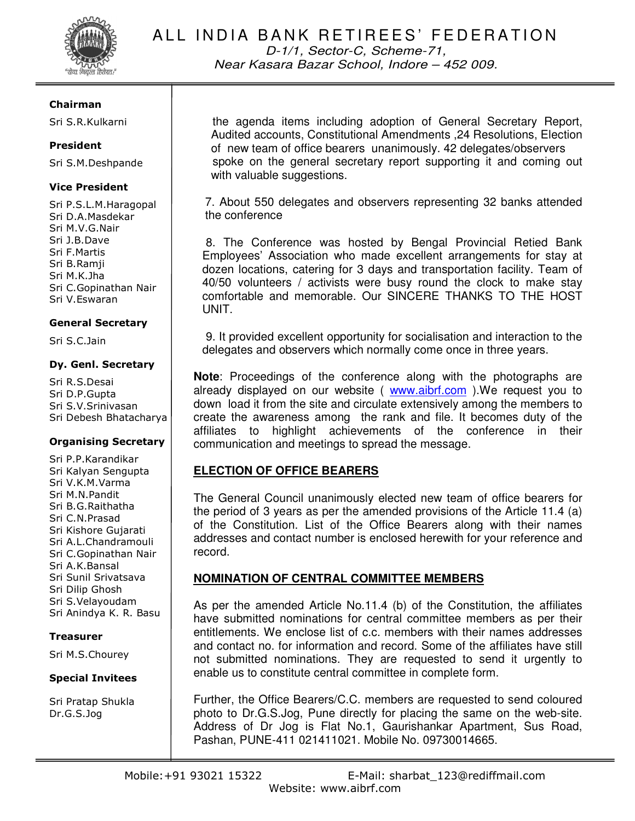

D-1/1, Sector-C, Scheme-71, Near Kasara Bazar School, Indore – 452 009.

#### Chairman

Sri S.R.Kulkarni

#### President

Sri S.M.Deshpande

#### Vice President

Sri P.S.L.M.Haragopal Sri D.A.Masdekar Sri M.V.G.Nair Sri J.B.Dave Sri F.Martis Sri B.Ramji Sri M.K.Jha Sri C.Gopinathan Nair Sri V.Eswaran

#### General Secretary

Sri S.C.Jain

#### Dy. Genl. Secretary

Sri R.S.Desai Sri D.P.Gupta Sri S.V.Srinivasan Sri Debesh Bhatacharya

#### Organising Secretary

Sri P.P.Karandikar Sri Kalyan Sengupta Sri V.K.M.Varma Sri M.N.Pandit Sri B.G.Raithatha Sri C.N.Prasad Sri Kishore Gujarati Sri A.L.Chandramouli Sri C.Gopinathan Nair Sri A.K.Bansal Sri Sunil Srivatsava Sri Dilip Ghosh Sri S.Velayoudam Sri Anindya K. R. Basu

#### Treasurer

Sri M.S.Chourey

#### Special Invitees

Sri Pratap Shukla Dr.G.S.Jog

the agenda items including adoption of General Secretary Report, Audited accounts, Constitutional Amendments ,24 Resolutions, Election of new team of office bearers unanimously. 42 delegates/observers spoke on the general secretary report supporting it and coming out with valuable suggestions.

7. About 550 delegates and observers representing 32 banks attended the conference

8. The Conference was hosted by Bengal Provincial Retied Bank Employees' Association who made excellent arrangements for stay at dozen locations, catering for 3 days and transportation facility. Team of 40/50 volunteers / activists were busy round the clock to make stay comfortable and memorable. Our SINCERE THANKS TO THE HOST UNIT.

9. It provided excellent opportunity for socialisation and interaction to the delegates and observers which normally come once in three years.

**Note**: Proceedings of the conference along with the photographs are already displayed on our website (www.aibrf.com). We request you to down load it from the site and circulate extensively among the members to create the awareness among the rank and file. It becomes duty of the affiliates to highlight achievements of the conference in their communication and meetings to spread the message.

## **ELECTION OF OFFICE BEARERS**

The General Council unanimously elected new team of office bearers for the period of 3 years as per the amended provisions of the Article 11.4 (a) of the Constitution. List of the Office Bearers along with their names addresses and contact number is enclosed herewith for your reference and record.

#### **NOMINATION OF CENTRAL COMMITTEE MEMBERS**

As per the amended Article No.11.4 (b) of the Constitution, the affiliates have submitted nominations for central committee members as per their entitlements. We enclose list of c.c. members with their names addresses and contact no. for information and record. Some of the affiliates have still not submitted nominations. They are requested to send it urgently to enable us to constitute central committee in complete form.

Further, the Office Bearers/C.C. members are requested to send coloured photo to Dr.G.S.Jog, Pune directly for placing the same on the web-site. Address of Dr Jog is Flat No.1, Gaurishankar Apartment, Sus Road, Pashan, PUNE-411 021411021. Mobile No. 09730014665.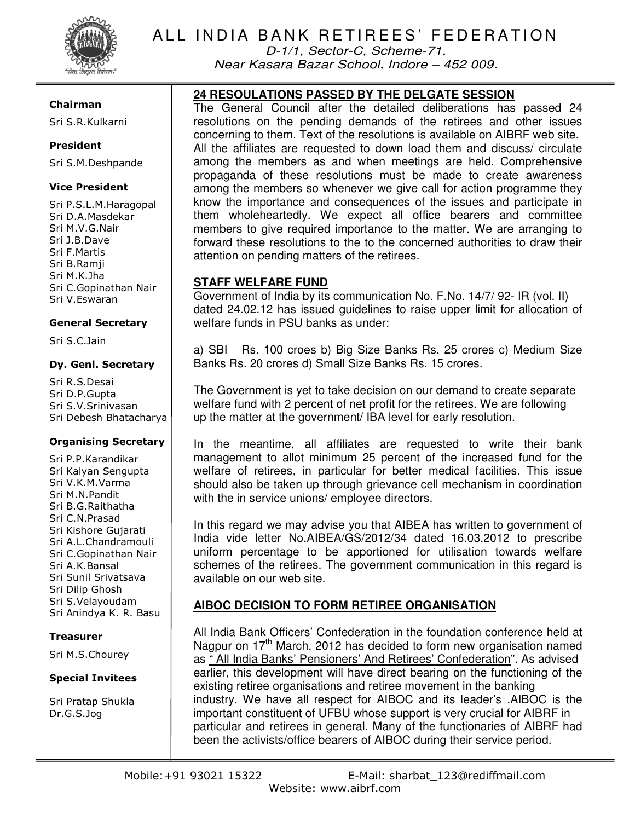

D-1/1, Sector-C, Scheme-71, Near Kasara Bazar School, Indore – 452 009.

#### Chairman

Sri S.R.Kulkarni

#### President

Sri S.M.Deshpande

#### Vice President

Sri P.S.L.M.Haragopal Sri D.A.Masdekar Sri M.V.G.Nair Sri J.B.Dave Sri F.Martis Sri B.Ramji Sri M.K.Jha Sri C.Gopinathan Nair Sri V.Eswaran

#### General Secretary

Sri S.C.Jain

#### Dy. Genl. Secretary

Sri R.S.Desai Sri D.P.Gupta Sri S.V.Srinivasan Sri Debesh Bhatacharya

#### Organising Secretary

Sri P.P.Karandikar Sri Kalyan Sengupta Sri V.K.M.Varma Sri M.N.Pandit Sri B.G.Raithatha Sri C.N.Prasad Sri Kishore Gujarati Sri A.L.Chandramouli Sri C.Gopinathan Nair Sri A.K.Bansal Sri Sunil Srivatsava Sri Dilip Ghosh Sri S.Velayoudam Sri Anindya K. R. Basu

#### Treasurer

Sri M.S.Chourey

#### Special Invitees

Sri Pratap Shukla Dr.G.S.Jog

## **24 RESOULATIONS PASSED BY THE DELGATE SESSION**

The General Council after the detailed deliberations has passed 24 resolutions on the pending demands of the retirees and other issues concerning to them. Text of the resolutions is available on AIBRF web site. All the affiliates are requested to down load them and discuss/ circulate among the members as and when meetings are held. Comprehensive propaganda of these resolutions must be made to create awareness among the members so whenever we give call for action programme they know the importance and consequences of the issues and participate in them wholeheartedly. We expect all office bearers and committee members to give required importance to the matter. We are arranging to forward these resolutions to the to the concerned authorities to draw their attention on pending matters of the retirees.

#### **STAFF WELFARE FUND**

Government of India by its communication No. F.No. 14/7/ 92- IR (vol. II) dated 24.02.12 has issued guidelines to raise upper limit for allocation of welfare funds in PSU banks as under:

a) SBI Rs. 100 croes b) Big Size Banks Rs. 25 crores c) Medium Size Banks Rs. 20 crores d) Small Size Banks Rs. 15 crores.

The Government is yet to take decision on our demand to create separate welfare fund with 2 percent of net profit for the retirees. We are following up the matter at the government/ IBA level for early resolution.

In the meantime, all affiliates are requested to write their bank management to allot minimum 25 percent of the increased fund for the welfare of retirees, in particular for better medical facilities. This issue should also be taken up through grievance cell mechanism in coordination with the in service unions/ employee directors.

In this regard we may advise you that AIBEA has written to government of India vide letter No.AIBEA/GS/2012/34 dated 16.03.2012 to prescribe uniform percentage to be apportioned for utilisation towards welfare schemes of the retirees. The government communication in this regard is available on our web site.

## **AIBOC DECISION TO FORM RETIREE ORGANISATION**

All India Bank Officers' Confederation in the foundation conference held at Nagpur on  $17<sup>th</sup>$  March, 2012 has decided to form new organisation named as " All India Banks' Pensioners' And Retirees' Confederation". As advised earlier, this development will have direct bearing on the functioning of the existing retiree organisations and retiree movement in the banking industry. We have all respect for AIBOC and its leader's .AIBOC is the important constituent of UFBU whose support is very crucial for AIBRF in particular and retirees in general. Many of the functionaries of AIBRF had been the activists/office bearers of AIBOC during their service period.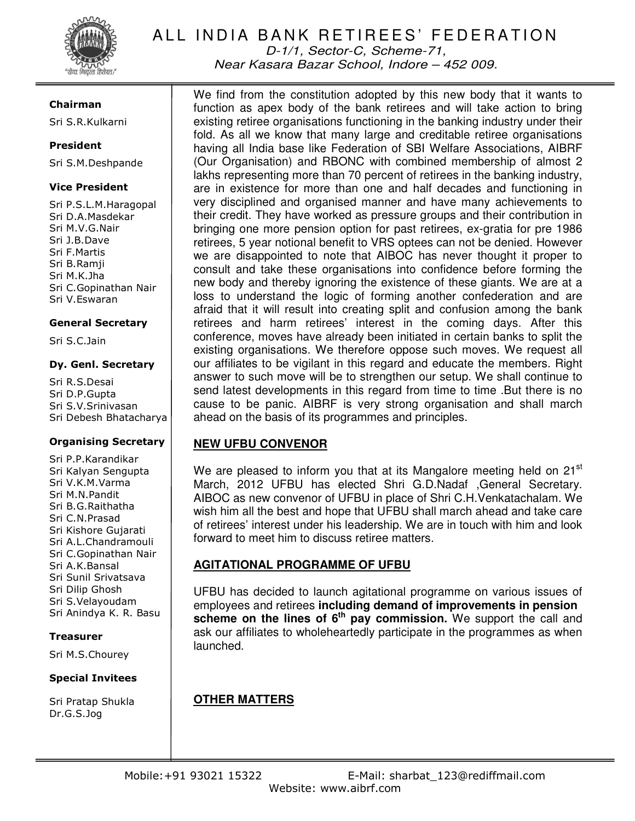

D-1/1, Sector-C, Scheme-71,

Near Kasara Bazar School, Indore – 452 009.

#### Chairman

Sri S.R.Kulkarni

#### President

Sri S.M.Deshpande

#### Vice President

Sri P.S.L.M.Haragopal Sri D.A.Masdekar Sri M.V.G.Nair Sri J.B.Dave Sri F.Martis Sri B.Ramji Sri M.K.Jha Sri C.Gopinathan Nair Sri V.Eswaran

#### General Secretary

Sri S.C.Jain

#### Dy. Genl. Secretary

Sri R.S.Desai Sri D.P.Gupta Sri S.V.Srinivasan Sri Debesh Bhatacharya

#### Organising Secretary

Sri P.P.Karandikar Sri Kalyan Sengupta Sri V.K.M.Varma Sri M.N.Pandit Sri B.G.Raithatha Sri C.N.Prasad Sri Kishore Gujarati Sri A.L.Chandramouli Sri C.Gopinathan Nair Sri A.K.Bansal Sri Sunil Srivatsava Sri Dilip Ghosh Sri S.Velayoudam Sri Anindya K. R. Basu

#### Treasurer

Sri M.S.Chourey

#### Special Invitees

Sri Pratap Shukla Dr.G.S.Jog

We find from the constitution adopted by this new body that it wants to function as apex body of the bank retirees and will take action to bring existing retiree organisations functioning in the banking industry under their fold. As all we know that many large and creditable retiree organisations having all India base like Federation of SBI Welfare Associations, AIBRF (Our Organisation) and RBONC with combined membership of almost 2 lakhs representing more than 70 percent of retirees in the banking industry, are in existence for more than one and half decades and functioning in very disciplined and organised manner and have many achievements to their credit. They have worked as pressure groups and their contribution in bringing one more pension option for past retirees, ex-gratia for pre 1986 retirees, 5 year notional benefit to VRS optees can not be denied. However we are disappointed to note that AIBOC has never thought it proper to consult and take these organisations into confidence before forming the new body and thereby ignoring the existence of these giants. We are at a loss to understand the logic of forming another confederation and are afraid that it will result into creating split and confusion among the bank retirees and harm retirees' interest in the coming days. After this conference, moves have already been initiated in certain banks to split the existing organisations. We therefore oppose such moves. We request all our affiliates to be vigilant in this regard and educate the members. Right answer to such move will be to strengthen our setup. We shall continue to send latest developments in this regard from time to time .But there is no cause to be panic. AIBRF is very strong organisation and shall march ahead on the basis of its programmes and principles.

## **NEW UFBU CONVENOR**

We are pleased to inform you that at its Mangalore meeting held on  $21<sup>st</sup>$ March, 2012 UFBU has elected Shri G.D.Nadaf ,General Secretary. AIBOC as new convenor of UFBU in place of Shri C.H.Venkatachalam. We wish him all the best and hope that UFBU shall march ahead and take care of retirees' interest under his leadership. We are in touch with him and look forward to meet him to discuss retiree matters.

## **AGITATIONAL PROGRAMME OF UFBU**

UFBU has decided to launch agitational programme on various issues of employees and retirees **including demand of improvements in pension**  scheme on the lines of  $6<sup>th</sup>$  pay commission. We support the call and ask our affiliates to wholeheartedly participate in the programmes as when launched.

## **OTHER MATTERS**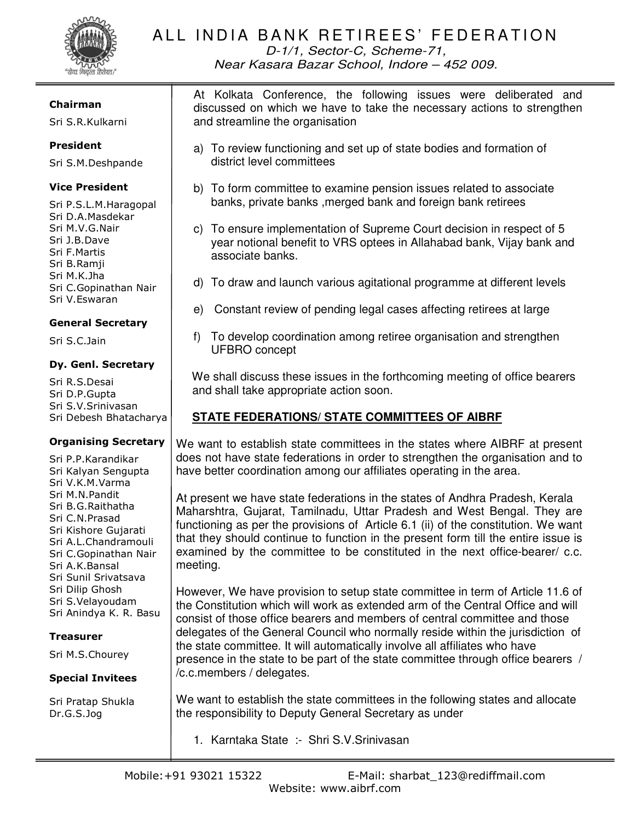

D-1/1, Sector-C, Scheme-71, Near Kasara Bazar School, Indore – 452 009.

#### Chairman

Sri S.R.Kulkarni

President

Sri S.M.Deshpande

### Vice President

Sri P.S.L.M.Haragopal Sri D.A.Masdekar Sri M.V.G.Nair Sri J.B.Dave Sri F.Martis Sri B.Ramji Sri M.K.Jha Sri C.Gopinathan Nair Sri V.Eswaran

#### General Secretary

Sri S.C.Jain

#### Dy. Genl. Secretary

Sri R.S.Desai Sri D.P.Gupta Sri S.V.Srinivasan Sri Debesh Bhatacharya

## Organising Secretary

Sri P.P.Karandikar Sri Kalyan Sengupta Sri V.K.M.Varma Sri M.N.Pandit Sri B.G.Raithatha Sri C.N.Prasad Sri Kishore Gujarati Sri A.L.Chandramouli Sri C.Gopinathan Nair Sri A.K.Bansal Sri Sunil Srivatsava Sri Dilip Ghosh Sri S.Velayoudam Sri Anindya K. R. Basu

## Treasurer

Sri M.S.Chourey

## Special Invitees

Sri Pratap Shukla Dr.G.S.Jog

At Kolkata Conference, the following issues were deliberated and discussed on which we have to take the necessary actions to strengthen and streamline the organisation

- a) To review functioning and set up of state bodies and formation of district level committees
- b) To form committee to examine pension issues related to associate banks, private banks ,merged bank and foreign bank retirees
- c) To ensure implementation of Supreme Court decision in respect of 5 year notional benefit to VRS optees in Allahabad bank, Vijay bank and associate banks.
- d) To draw and launch various agitational programme at different levels
- e) Constant review of pending legal cases affecting retirees at large
- f) To develop coordination among retiree organisation and strengthen UFBRO concept

 We shall discuss these issues in the forthcoming meeting of office bearers and shall take appropriate action soon.

## **STATE FEDERATIONS/ STATE COMMITTEES OF AIBRF**

We want to establish state committees in the states where AIBRF at present does not have state federations in order to strengthen the organisation and to have better coordination among our affiliates operating in the area.

At present we have state federations in the states of Andhra Pradesh, Kerala Maharshtra, Gujarat, Tamilnadu, Uttar Pradesh and West Bengal. They are functioning as per the provisions of Article 6.1 (ii) of the constitution. We want that they should continue to function in the present form till the entire issue is examined by the committee to be constituted in the next office-bearer/ c.c. meeting.

However, We have provision to setup state committee in term of Article 11.6 of the Constitution which will work as extended arm of the Central Office and will consist of those office bearers and members of central committee and those delegates of the General Council who normally reside within the jurisdiction of the state committee. It will automatically involve all affiliates who have presence in the state to be part of the state committee through office bearers / /c.c.members / delegates.

We want to establish the state committees in the following states and allocate the responsibility to Deputy General Secretary as under

1. Karntaka State :- Shri S.V.Srinivasan